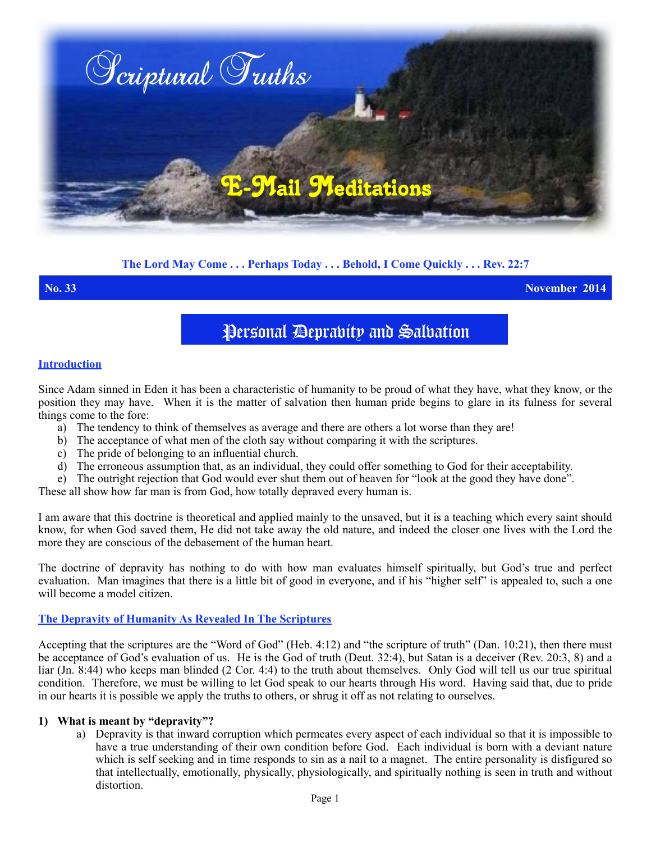

# **The Lord May Come . . . Perhaps Today . . . Behold, I Come Quickly . . . Rev. 22:7**

**No. 33 November 2014**

# Personal Deprabity and Salbation

### **Introduction**

Since Adam sinned in Eden it has been a characteristic of humanity to be proud of what they have, what they know, or the position they may have. When it is the matter of salvation then human pride begins to glare in its fulness for several things come to the fore:

- a) The tendency to think of themselves as average and there are others a lot worse than they are!
- b) The acceptance of what men of the cloth say without comparing it with the scriptures.
- c) The pride of belonging to an influential church.
- d) The erroneous assumption that, as an individual, they could offer something to God for their acceptability.
- e) The outright rejection that God would ever shut them out of heaven for "look at the good they have done".

These all show how far man is from God, how totally depraved every human is.

I am aware that this doctrine is theoretical and applied mainly to the unsaved, but it is a teaching which every saint should know, for when God saved them, He did not take away the old nature, and indeed the closer one lives with the Lord the more they are conscious of the debasement of the human heart.

The doctrine of depravity has nothing to do with how man evaluates himself spiritually, but God's true and perfect evaluation. Man imagines that there is a little bit of good in everyone, and if his "higher self" is appealed to, such a one will become a model citizen.

### **The Depravity of Humanity As Revealed In The Scriptures**

Accepting that the scriptures are the "Word of God" (Heb. 4:12) and "the scripture of truth" (Dan. 10:21), then there must be acceptance of God's evaluation of us. He is the God of truth (Deut. 32:4), but Satan is a deceiver (Rev. 20:3, 8) and a liar (Jn. 8:44) who keeps man blinded (2 Cor. 4:4) to the truth about themselves. Only God will tell us our true spiritual condition. Therefore, we must be willing to let God speak to our hearts through His word. Having said that, due to pride in our hearts it is possible we apply the truths to others, or shrug it off as not relating to ourselves.

### **1) What is meant by "depravity"?**

a) Depravity is that inward corruption which permeates every aspect of each individual so that it is impossible to have a true understanding of their own condition before God. Each individual is born with a deviant nature which is self seeking and in time responds to sin as a nail to a magnet. The entire personality is disfigured so that intellectually, emotionally, physically, physiologically, and spiritually nothing is seen in truth and without distortion.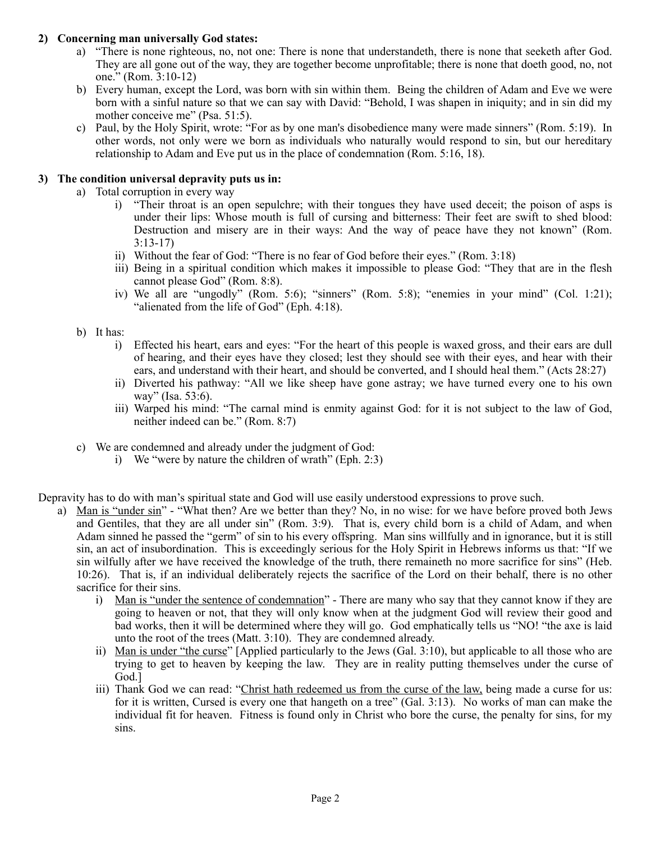# **2) Concerning man universally God states:**

- a) "There is none righteous, no, not one: There is none that understandeth, there is none that seeketh after God. They are all gone out of the way, they are together become unprofitable; there is none that doeth good, no, not one." (Rom. 3:10-12)
- b) Every human, except the Lord, was born with sin within them. Being the children of Adam and Eve we were born with a sinful nature so that we can say with David: "Behold, I was shapen in iniquity; and in sin did my mother conceive me" (Psa. 51:5).
- c) Paul, by the Holy Spirit, wrote: "For as by one man's disobedience many were made sinners" (Rom. 5:19). In other words, not only were we born as individuals who naturally would respond to sin, but our hereditary relationship to Adam and Eve put us in the place of condemnation (Rom. 5:16, 18).

# **3) The condition universal depravity puts us in:**

- a) Total corruption in every way
	- i) "Their throat is an open sepulchre; with their tongues they have used deceit; the poison of asps is under their lips: Whose mouth is full of cursing and bitterness: Their feet are swift to shed blood: Destruction and misery are in their ways: And the way of peace have they not known" (Rom. 3:13-17)
	- ii) Without the fear of God: "There is no fear of God before their eyes." (Rom. 3:18)
	- iii) Being in a spiritual condition which makes it impossible to please God: "They that are in the flesh cannot please God" (Rom. 8:8).
	- iv) We all are "ungodly" (Rom. 5:6); "sinners" (Rom. 5:8); "enemies in your mind" (Col. 1:21); "alienated from the life of God" (Eph. 4:18).
- b) It has:
	- i) Effected his heart, ears and eyes: "For the heart of this people is waxed gross, and their ears are dull of hearing, and their eyes have they closed; lest they should see with their eyes, and hear with their ears, and understand with their heart, and should be converted, and I should heal them." (Acts 28:27)
	- ii) Diverted his pathway: "All we like sheep have gone astray; we have turned every one to his own way" (Isa. 53:6).
	- iii) Warped his mind: "The carnal mind is enmity against God: for it is not subject to the law of God, neither indeed can be." (Rom. 8:7)
- c) We are condemned and already under the judgment of God:
	- i) We "were by nature the children of wrath" (Eph. 2:3)

Depravity has to do with man's spiritual state and God will use easily understood expressions to prove such.

- a) Man is "under sin" "What then? Are we better than they? No, in no wise: for we have before proved both Jews and Gentiles, that they are all under sin" (Rom. 3:9). That is, every child born is a child of Adam, and when Adam sinned he passed the "germ" of sin to his every offspring. Man sins willfully and in ignorance, but it is still sin, an act of insubordination. This is exceedingly serious for the Holy Spirit in Hebrews informs us that: "If we sin wilfully after we have received the knowledge of the truth, there remaineth no more sacrifice for sins" (Heb. 10:26). That is, if an individual deliberately rejects the sacrifice of the Lord on their behalf, there is no other sacrifice for their sins.
	- i) Man is "under the sentence of condemnation" There are many who say that they cannot know if they are going to heaven or not, that they will only know when at the judgment God will review their good and bad works, then it will be determined where they will go. God emphatically tells us "NO! "the axe is laid unto the root of the trees (Matt. 3:10). They are condemned already.
	- ii) Man is under "the curse" [Applied particularly to the Jews (Gal. 3:10), but applicable to all those who are trying to get to heaven by keeping the law. They are in reality putting themselves under the curse of God.]
	- iii) Thank God we can read: "Christ hath redeemed us from the curse of the law, being made a curse for us: for it is written, Cursed is every one that hangeth on a tree" (Gal. 3:13). No works of man can make the individual fit for heaven. Fitness is found only in Christ who bore the curse, the penalty for sins, for my sins.